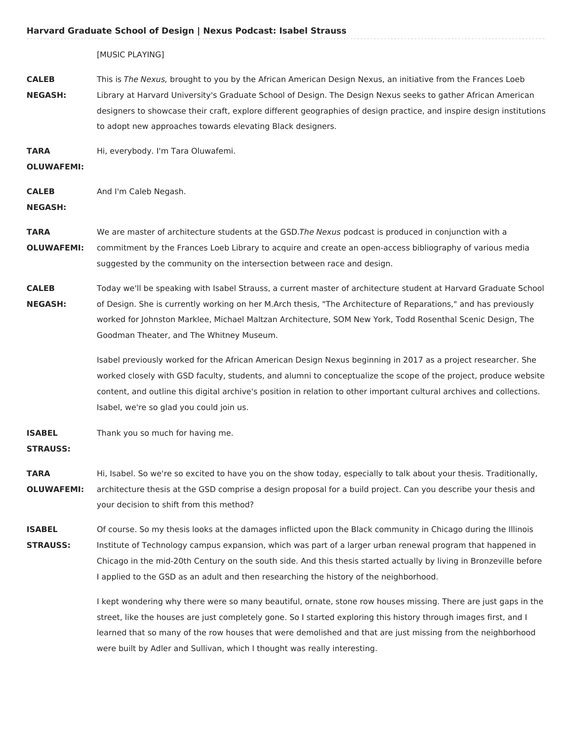|                                  | [MUSIC PLAYING]                                                                                                                                                                                                                                                                                                                                                                                                                                |
|----------------------------------|------------------------------------------------------------------------------------------------------------------------------------------------------------------------------------------------------------------------------------------------------------------------------------------------------------------------------------------------------------------------------------------------------------------------------------------------|
| <b>CALEB</b><br><b>NEGASH:</b>   | This is The Nexus, brought to you by the African American Design Nexus, an initiative from the Frances Loeb<br>Library at Harvard University's Graduate School of Design. The Design Nexus seeks to gather African American<br>designers to showcase their craft, explore different geographies of design practice, and inspire design institutions<br>to adopt new approaches towards elevating Black designers.                              |
| <b>TARA</b><br><b>OLUWAFEMI:</b> | Hi, everybody. I'm Tara Oluwafemi.                                                                                                                                                                                                                                                                                                                                                                                                             |
| <b>CALEB</b><br><b>NEGASH:</b>   | And I'm Caleb Negash.                                                                                                                                                                                                                                                                                                                                                                                                                          |
| <b>TARA</b><br><b>OLUWAFEMI:</b> | We are master of architecture students at the GSD. The Nexus podcast is produced in conjunction with a<br>commitment by the Frances Loeb Library to acquire and create an open-access bibliography of various media<br>suggested by the community on the intersection between race and design.                                                                                                                                                 |
| <b>CALEB</b><br><b>NEGASH:</b>   | Today we'll be speaking with Isabel Strauss, a current master of architecture student at Harvard Graduate School<br>of Design. She is currently working on her M.Arch thesis, "The Architecture of Reparations," and has previously<br>worked for Johnston Marklee, Michael Maltzan Architecture, SOM New York, Todd Rosenthal Scenic Design, The<br>Goodman Theater, and The Whitney Museum.                                                  |
|                                  | Isabel previously worked for the African American Design Nexus beginning in 2017 as a project researcher. She<br>worked closely with GSD faculty, students, and alumni to conceptualize the scope of the project, produce website<br>content, and outline this digital archive's position in relation to other important cultural archives and collections.<br>Isabel, we're so glad you could join us.                                        |
| <b>ISABEL</b><br><b>STRAUSS:</b> | Thank you so much for having me.                                                                                                                                                                                                                                                                                                                                                                                                               |
| <b>TARA</b><br><b>OLUWAFEMI:</b> | Hi, Isabel. So we're so excited to have you on the show today, especially to talk about your thesis. Traditionally,<br>architecture thesis at the GSD comprise a design proposal for a build project. Can you describe your thesis and<br>your decision to shift from this method?                                                                                                                                                             |
| <b>ISABEL</b><br><b>STRAUSS:</b> | Of course. So my thesis looks at the damages inflicted upon the Black community in Chicago during the Illinois<br>Institute of Technology campus expansion, which was part of a larger urban renewal program that happened in<br>Chicago in the mid-20th Century on the south side. And this thesis started actually by living in Bronzeville before<br>I applied to the GSD as an adult and then researching the history of the neighborhood. |
|                                  | I kept wondering why there were so many beautiful, ornate, stone row houses missing. There are just gaps in the<br>street, like the houses are just completely gone. So I started exploring this history through images first, and I<br>learned that so many of the row houses that were demolished and that are just missing from the neighborhood                                                                                            |

were built by Adler and Sullivan, which I thought was really interesting.

 **Harvard Graduate School of Design | Nexus Podcast: Isabel Strauss**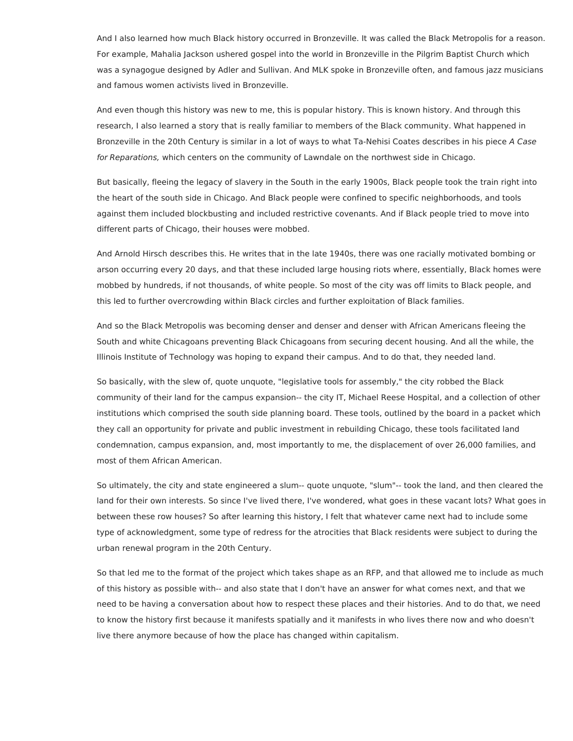And I also learned how much Black history occurred in Bronzeville. It was called the Black Metropolis for a reason. For example, Mahalia Jackson ushered gospel into the world in Bronzeville in the Pilgrim Baptist Church which was a synagogue designed by Adler and Sullivan. And MLK spoke in Bronzeville often, and famous jazz musicians and famous women activists lived in Bronzeville.

 And even though this history was new to me, this is popular history. This is known history. And through this research, I also learned a story that is really familiar to members of the Black community. What happened in Bronzeville in the 20th Century is similar in a lot of ways to what Ta-Nehisi Coates describes in his piece A Case for Reparations, which centers on the community of Lawndale on the northwest side in Chicago.

 But basically, fleeing the legacy of slavery in the South in the early 1900s, Black people took the train right into the heart of the south side in Chicago. And Black people were confined to specific neighborhoods, and tools against them included blockbusting and included restrictive covenants. And if Black people tried to move into different parts of Chicago, their houses were mobbed.

 And Arnold Hirsch describes this. He writes that in the late 1940s, there was one racially motivated bombing or arson occurring every 20 days, and that these included large housing riots where, essentially, Black homes were mobbed by hundreds, if not thousands, of white people. So most of the city was off limits to Black people, and this led to further overcrowding within Black circles and further exploitation of Black families.

 And so the Black Metropolis was becoming denser and denser and denser with African Americans fleeing the South and white Chicagoans preventing Black Chicagoans from securing decent housing. And all the while, the Illinois Institute of Technology was hoping to expand their campus. And to do that, they needed land.

 So basically, with the slew of, quote unquote, "legislative tools for assembly," the city robbed the Black community of their land for the campus expansion-- the city IT, Michael Reese Hospital, and a collection of other institutions which comprised the south side planning board. These tools, outlined by the board in a packet which they call an opportunity for private and public investment in rebuilding Chicago, these tools facilitated land condemnation, campus expansion, and, most importantly to me, the displacement of over 26,000 families, and most of them African American.

 So ultimately, the city and state engineered a slum-- quote unquote, "slum"-- took the land, and then cleared the land for their own interests. So since I've lived there, I've wondered, what goes in these vacant lots? What goes in between these row houses? So after learning this history, I felt that whatever came next had to include some type of acknowledgment, some type of redress for the atrocities that Black residents were subject to during the urban renewal program in the 20th Century.

 So that led me to the format of the project which takes shape as an RFP, and that allowed me to include as much of this history as possible with-- and also state that I don't have an answer for what comes next, and that we need to be having a conversation about how to respect these places and their histories. And to do that, we need to know the history first because it manifests spatially and it manifests in who lives there now and who doesn't live there anymore because of how the place has changed within capitalism.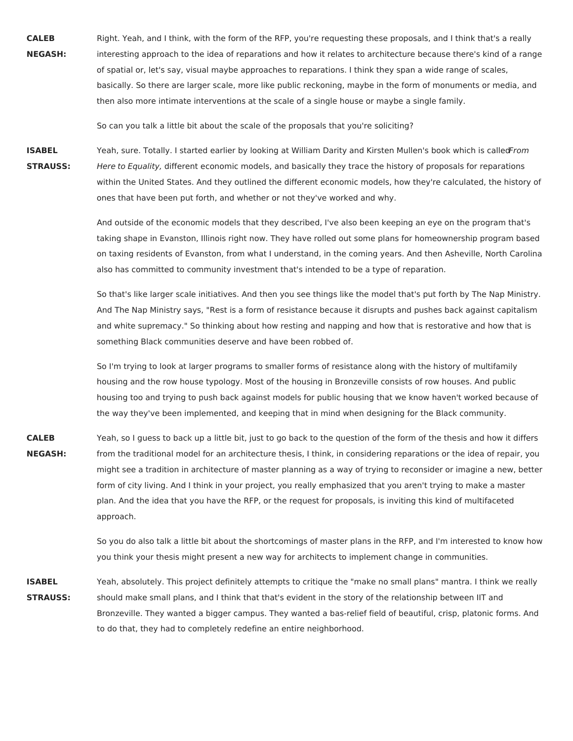Right. Yeah, and I think, with the form of the RFP, you're requesting these proposals, and I think that's a really interesting approach to the idea of reparations and how it relates to architecture because there's kind of a range of spatial or, let's say, visual maybe approaches to reparations. I think they span a wide range of scales, basically. So there are larger scale, more like public reckoning, maybe in the form of monuments or media, and then also more intimate interventions at the scale of a single house or maybe a single family. **CALEB NEGASH:**

So can you talk a little bit about the scale of the proposals that you're soliciting?

Yeah, sure. Totally. I started earlier by looking at William Darity and Kirsten Mullen's book which is calledFrom Here to Equality, different economic models, and basically they trace the history of proposals for reparations within the United States. And they outlined the different economic models, how they're calculated, the history of ones that have been put forth, and whether or not they've worked and why. **ISABEL STRAUSS:**

> And outside of the economic models that they described, I've also been keeping an eye on the program that's taking shape in Evanston, Illinois right now. They have rolled out some plans for homeownership program based on taxing residents of Evanston, from what I understand, in the coming years. And then Asheville, North Carolina also has committed to community investment that's intended to be a type of reparation.

> So that's like larger scale initiatives. And then you see things like the model that's put forth by The Nap Ministry. And The Nap Ministry says, "Rest is a form of resistance because it disrupts and pushes back against capitalism and white supremacy." So thinking about how resting and napping and how that is restorative and how that is something Black communities deserve and have been robbed of.

> So I'm trying to look at larger programs to smaller forms of resistance along with the history of multifamily housing and the row house typology. Most of the housing in Bronzeville consists of row houses. And public housing too and trying to push back against models for public housing that we know haven't worked because of the way they've been implemented, and keeping that in mind when designing for the Black community.

 Yeah, so I guess to back up a little bit, just to go back to the question of the form of the thesis and how it differs from the traditional model for an architecture thesis, I think, in considering reparations or the idea of repair, you might see a tradition in architecture of master planning as a way of trying to reconsider or imagine a new, better form of city living. And I think in your project, you really emphasized that you aren't trying to make a master plan. And the idea that you have the RFP, or the request for proposals, is inviting this kind of multifaceted **CALEB NEGASH:** approach.

> So you do also talk a little bit about the shortcomings of master plans in the RFP, and I'm interested to know how you think your thesis might present a new way for architects to implement change in communities.

 Yeah, absolutely. This project definitely attempts to critique the "make no small plans" mantra. I think we really should make small plans, and I think that that's evident in the story of the relationship between IIT and Bronzeville. They wanted a bigger campus. They wanted a bas-relief field of beautiful, crisp, platonic forms. And to do that, they had to completely redefine an entire neighborhood.**ISABEL STRAUSS:**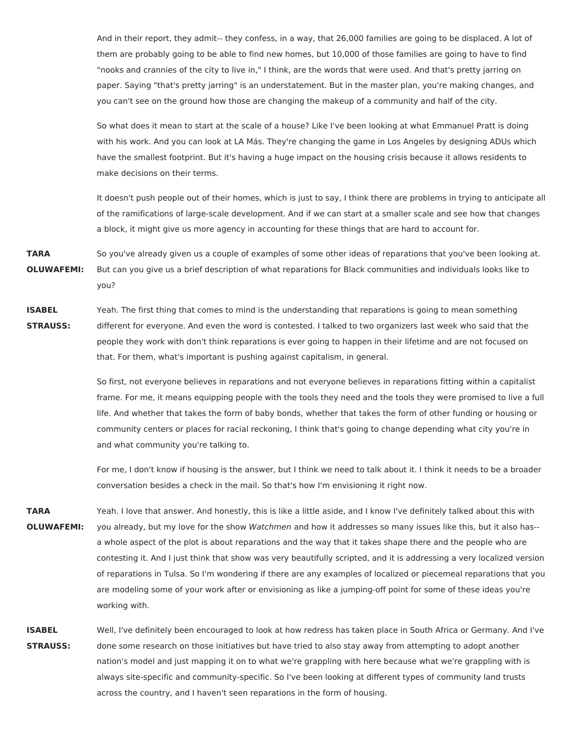And in their report, they admit-- they confess, in a way, that 26,000 families are going to be displaced. A lot of them are probably going to be able to find new homes, but 10,000 of those families are going to have to find "nooks and crannies of the city to live in," I think, are the words that were used. And that's pretty jarring on paper. Saying "that's pretty jarring" is an understatement. But in the master plan, you're making changes, and you can't see on the ground how those are changing the makeup of a community and half of the city.

 So what does it mean to start at the scale of a house? Like I've been looking at what Emmanuel Pratt is doing with his work. And you can look at LA Más. They're changing the game in Los Angeles by designing ADUs which have the smallest footprint. But it's having a huge impact on the housing crisis because it allows residents to make decisions on their terms.

 It doesn't push people out of their homes, which is just to say, I think there are problems in trying to anticipate all of the ramifications of large-scale development. And if we can start at a smaller scale and see how that changes a block, it might give us more agency in accounting for these things that are hard to account for.

 So you've already given us a couple of examples of some other ideas of reparations that you've been looking at. But can you give us a brief description of what reparations for Black communities and individuals looks like to **TARA OLUWAFEMI:** you?

 Yeah. The first thing that comes to mind is the understanding that reparations is going to mean something different for everyone. And even the word is contested. I talked to two organizers last week who said that the people they work with don't think reparations is ever going to happen in their lifetime and are not focused on that. For them, what's important is pushing against capitalism, in general. **ISABEL STRAUSS:**

> So first, not everyone believes in reparations and not everyone believes in reparations fitting within a capitalist frame. For me, it means equipping people with the tools they need and the tools they were promised to live a full life. And whether that takes the form of baby bonds, whether that takes the form of other funding or housing or community centers or places for racial reckoning, I think that's going to change depending what city you're in and what community you're talking to.

> For me, I don't know if housing is the answer, but I think we need to talk about it. I think it needs to be a broader conversation besides a check in the mail. So that's how I'm envisioning it right now.

 Yeah. I love that answer. And honestly, this is like a little aside, and I know I've definitely talked about this with you already, but my love for the show Watchmen and how it addresses so many issues like this, but it also has-- a whole aspect of the plot is about reparations and the way that it takes shape there and the people who are contesting it. And I just think that show was very beautifully scripted, and it is addressing a very localized version of reparations in Tulsa. So I'm wondering if there are any examples of localized or piecemeal reparations that you are modeling some of your work after or envisioning as like a jumping-off point for some of these ideas you're **TARA OLUWAFEMI:** working with.

 Well, I've definitely been encouraged to look at how redress has taken place in South Africa or Germany. And I've done some research on those initiatives but have tried to also stay away from attempting to adopt another nation's model and just mapping it on to what we're grappling with here because what we're grappling with is always site-specific and community-specific. So I've been looking at different types of community land trusts across the country, and I haven't seen reparations in the form of housing.**ISABEL STRAUSS:**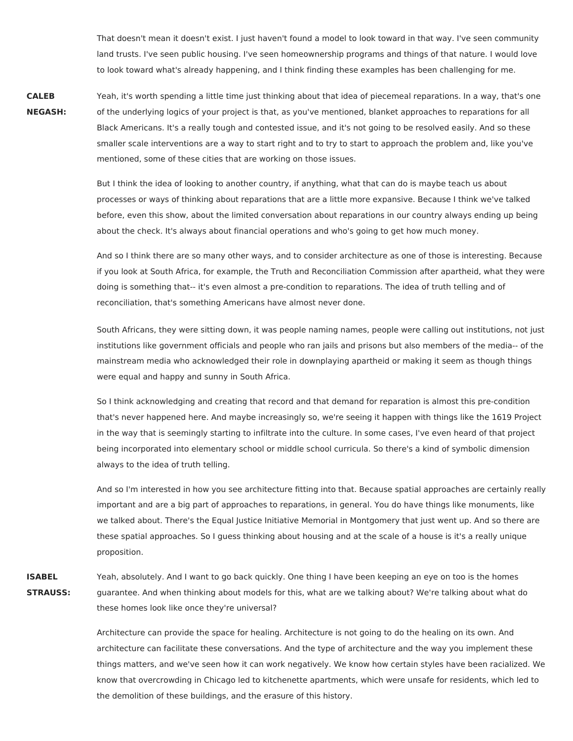That doesn't mean it doesn't exist. I just haven't found a model to look toward in that way. I've seen community land trusts. I've seen public housing. I've seen homeownership programs and things of that nature. I would love to look toward what's already happening, and I think finding these examples has been challenging for me.

 Yeah, it's worth spending a little time just thinking about that idea of piecemeal reparations. In a way, that's one of the underlying logics of your project is that, as you've mentioned, blanket approaches to reparations for all Black Americans. It's a really tough and contested issue, and it's not going to be resolved easily. And so these smaller scale interventions are a way to start right and to try to start to approach the problem and, like you've mentioned, some of these cities that are working on those issues. **CALEB NEGASH:**

> But I think the idea of looking to another country, if anything, what that can do is maybe teach us about processes or ways of thinking about reparations that are a little more expansive. Because I think we've talked before, even this show, about the limited conversation about reparations in our country always ending up being about the check. It's always about financial operations and who's going to get how much money.

 And so I think there are so many other ways, and to consider architecture as one of those is interesting. Because if you look at South Africa, for example, the Truth and Reconciliation Commission after apartheid, what they were doing is something that-- it's even almost a pre-condition to reparations. The idea of truth telling and of reconciliation, that's something Americans have almost never done.

 South Africans, they were sitting down, it was people naming names, people were calling out institutions, not just institutions like government officials and people who ran jails and prisons but also members of the media-- of the mainstream media who acknowledged their role in downplaying apartheid or making it seem as though things were equal and happy and sunny in South Africa.

 So I think acknowledging and creating that record and that demand for reparation is almost this pre-condition that's never happened here. And maybe increasingly so, we're seeing it happen with things like the 1619 Project in the way that is seemingly starting to infiltrate into the culture. In some cases, I've even heard of that project being incorporated into elementary school or middle school curricula. So there's a kind of symbolic dimension always to the idea of truth telling.

 And so I'm interested in how you see architecture fitting into that. Because spatial approaches are certainly really important and are a big part of approaches to reparations, in general. You do have things like monuments, like we talked about. There's the Equal Justice Initiative Memorial in Montgomery that just went up. And so there are these spatial approaches. So I guess thinking about housing and at the scale of a house is it's a really unique proposition.

 Yeah, absolutely. And I want to go back quickly. One thing I have been keeping an eye on too is the homes guarantee. And when thinking about models for this, what are we talking about? We're talking about what do these homes look like once they're universal? **ISABEL STRAUSS:**

> Architecture can provide the space for healing. Architecture is not going to do the healing on its own. And architecture can facilitate these conversations. And the type of architecture and the way you implement these things matters, and we've seen how it can work negatively. We know how certain styles have been racialized. We know that overcrowding in Chicago led to kitchenette apartments, which were unsafe for residents, which led to the demolition of these buildings, and the erasure of this history.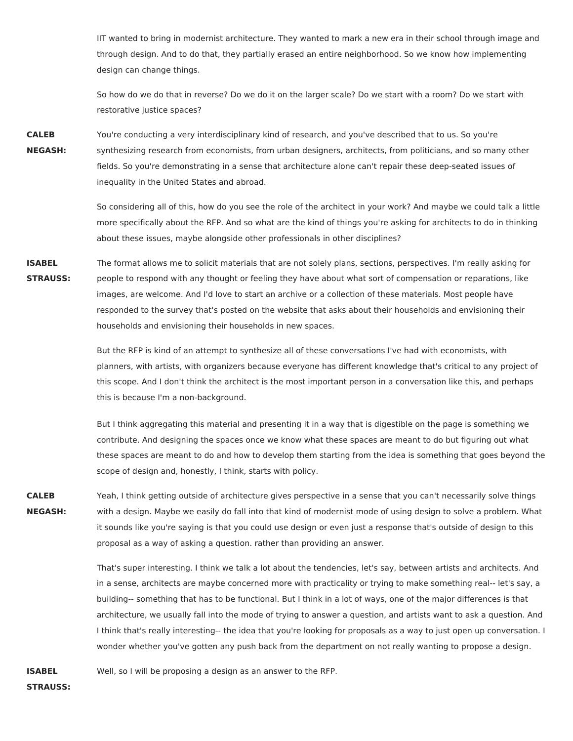IIT wanted to bring in modernist architecture. They wanted to mark a new era in their school through image and through design. And to do that, they partially erased an entire neighborhood. So we know how implementing design can change things.

 So how do we do that in reverse? Do we do it on the larger scale? Do we start with a room? Do we start with restorative justice spaces?

 You're conducting a very interdisciplinary kind of research, and you've described that to us. So you're synthesizing research from economists, from urban designers, architects, from politicians, and so many other fields. So you're demonstrating in a sense that architecture alone can't repair these deep-seated issues of inequality in the United States and abroad. **CALEB NEGASH:**

> So considering all of this, how do you see the role of the architect in your work? And maybe we could talk a little more specifically about the RFP. And so what are the kind of things you're asking for architects to do in thinking about these issues, maybe alongside other professionals in other disciplines?

 The format allows me to solicit materials that are not solely plans, sections, perspectives. I'm really asking for people to respond with any thought or feeling they have about what sort of compensation or reparations, like images, are welcome. And I'd love to start an archive or a collection of these materials. Most people have responded to the survey that's posted on the website that asks about their households and envisioning their households and envisioning their households in new spaces. **ISABEL STRAUSS:**

> But the RFP is kind of an attempt to synthesize all of these conversations I've had with economists, with planners, with artists, with organizers because everyone has different knowledge that's critical to any project of this scope. And I don't think the architect is the most important person in a conversation like this, and perhaps this is because I'm a non-background.

 But I think aggregating this material and presenting it in a way that is digestible on the page is something we contribute. And designing the spaces once we know what these spaces are meant to do but figuring out what these spaces are meant to do and how to develop them starting from the idea is something that goes beyond the scope of design and, honestly, I think, starts with policy.

 Yeah, I think getting outside of architecture gives perspective in a sense that you can't necessarily solve things with a design. Maybe we easily do fall into that kind of modernist mode of using design to solve a problem. What it sounds like you're saying is that you could use design or even just a response that's outside of design to this proposal as a way of asking a question. rather than providing an answer. **CALEB NEGASH:**

> That's super interesting. I think we talk a lot about the tendencies, let's say, between artists and architects. And in a sense, architects are maybe concerned more with practicality or trying to make something real-- let's say, a building-- something that has to be functional. But I think in a lot of ways, one of the major differences is that architecture, we usually fall into the mode of trying to answer a question, and artists want to ask a question. And I think that's really interesting-- the idea that you're looking for proposals as a way to just open up conversation. I wonder whether you've gotten any push back from the department on not really wanting to propose a design.

 Well, so I will be proposing a design as an answer to the RFP.**ISABEL**

**STRAUSS:**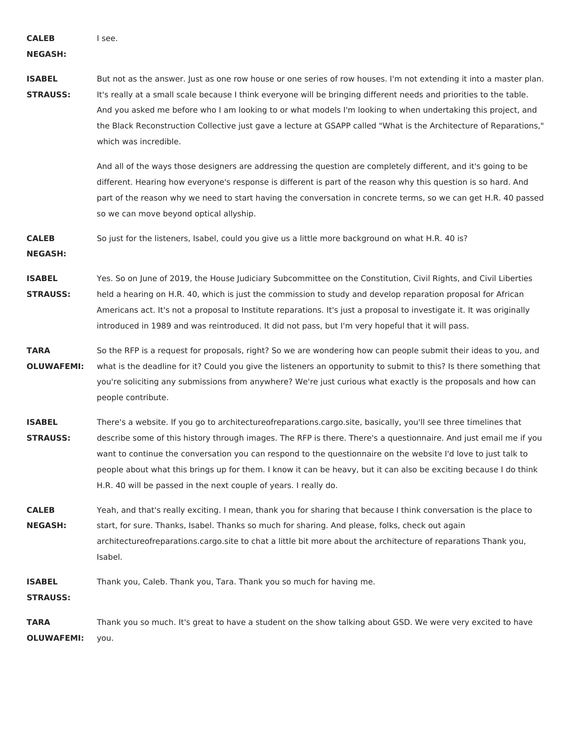**CALEB**

I see.

**NEGASH:**

**ISABEL STRAUSS:** But not as the answer. Just as one row house or one series of row houses. I'm not extending it into a master plan. It's really at a small scale because I think everyone will be bringing different needs and priorities to the table. And you asked me before who I am looking to or what models I'm looking to when undertaking this project, and the Black Reconstruction Collective just gave a lecture at GSAPP called "What is the Architecture of Reparations," which was incredible.

> And all of the ways those designers are addressing the question are completely different, and it's going to be different. Hearing how everyone's response is different is part of the reason why this question is so hard. And part of the reason why we need to start having the conversation in concrete terms, so we can get H.R. 40 passed so we can move beyond optical allyship.

 So just for the listeners, Isabel, could you give us a little more background on what H.R. 40 is? **CALEB**

**NEGASH:**

**ISABEL STRAUSS:** Yes. So on June of 2019, the House Judiciary Subcommittee on the Constitution, Civil Rights, and Civil Liberties held a hearing on H.R. 40, which is just the commission to study and develop reparation proposal for African Americans act. It's not a proposal to Institute reparations. It's just a proposal to investigate it. It was originally introduced in 1989 and was reintroduced. It did not pass, but I'm very hopeful that it will pass.

- **TARA OLUWAFEMI:** So the RFP is a request for proposals, right? So we are wondering how can people submit their ideas to you, and what is the deadline for it? Could you give the listeners an opportunity to submit to this? Is there something that you're soliciting any submissions from anywhere? We're just curious what exactly is the proposals and how can people contribute.
- **ISABEL STRAUSS:** There's a website. If you go to architectureofreparations.cargo.site, basically, you'll see three timelines that describe some of this history through images. The RFP is there. There's a questionnaire. And just email me if you want to continue the conversation you can respond to the questionnaire on the website I'd love to just talk to people about what this brings up for them. I know it can be heavy, but it can also be exciting because I do think H.R. 40 will be passed in the next couple of years. I really do.

**CALEB NEGASH:** Yeah, and that's really exciting. I mean, thank you for sharing that because I think conversation is the place to start, for sure. Thanks, Isabel. Thanks so much for sharing. And please, folks, check out again architectureofreparations.cargo.site to chat a little bit more about the architecture of reparations Thank you, Isabel.

 Thank you, Caleb. Thank you, Tara. Thank you so much for having me. **ISABEL**

**STRAUSS:**

 Thank you so much. It's great to have a student on the show talking about GSD. We were very excited to have **TARA OLUWAFEMI:** you.